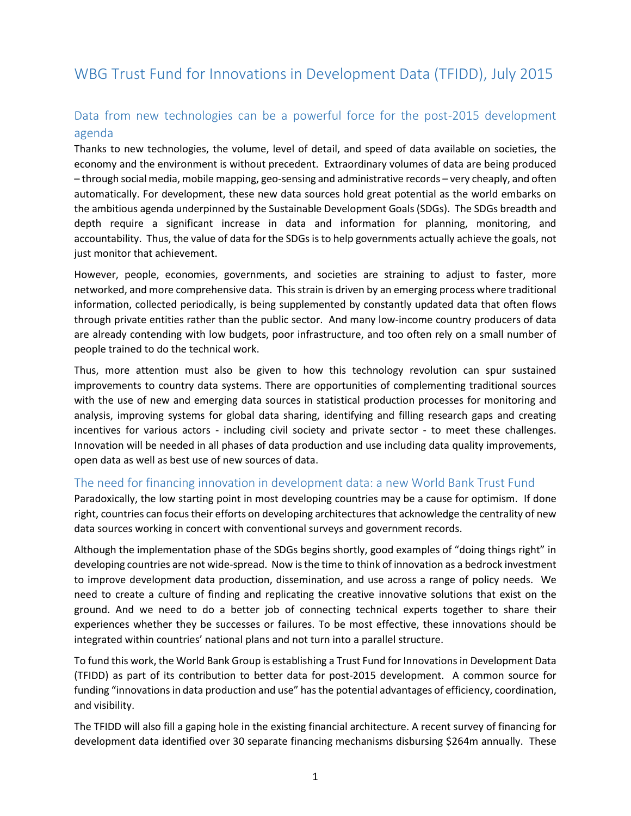# WBG Trust Fund for Innovations in Development Data (TFIDD), July 2015

## Data from new technologies can be a powerful force for the post-2015 development agenda

Thanks to new technologies, the volume, level of detail, and speed of data available on societies, the economy and the environment is without precedent. Extraordinary volumes of data are being produced – through social media, mobile mapping, geo-sensing and administrative records – very cheaply, and often automatically. For development, these new data sources hold great potential as the world embarks on the ambitious agenda underpinned by the Sustainable Development Goals (SDGs). The SDGs breadth and depth require a significant increase in data and information for planning, monitoring, and accountability. Thus, the value of data for the SDGs is to help governments actually achieve the goals, not just monitor that achievement.

However, people, economies, governments, and societies are straining to adjust to faster, more networked, and more comprehensive data. This strain is driven by an emerging process where traditional information, collected periodically, is being supplemented by constantly updated data that often flows through private entities rather than the public sector. And many low-income country producers of data are already contending with low budgets, poor infrastructure, and too often rely on a small number of people trained to do the technical work.

Thus, more attention must also be given to how this technology revolution can spur sustained improvements to country data systems. There are opportunities of complementing traditional sources with the use of new and emerging data sources in statistical production processes for monitoring and analysis, improving systems for global data sharing, identifying and filling research gaps and creating incentives for various actors - including civil society and private sector - to meet these challenges. Innovation will be needed in all phases of data production and use including data quality improvements, open data as well as best use of new sources of data.

### The need for financing innovation in development data: a new World Bank Trust Fund

Paradoxically, the low starting point in most developing countries may be a cause for optimism. If done right, countries can focus their efforts on developing architectures that acknowledge the centrality of new data sources working in concert with conventional surveys and government records.

Although the implementation phase of the SDGs begins shortly, good examples of "doing things right" in developing countries are not wide-spread. Now is the time to think of innovation as a bedrock investment to improve development data production, dissemination, and use across a range of policy needs. We need to create a culture of finding and replicating the creative innovative solutions that exist on the ground. And we need to do a better job of connecting technical experts together to share their experiences whether they be successes or failures. To be most effective, these innovations should be integrated within countries' national plans and not turn into a parallel structure.

To fund this work, the World Bank Group is establishing a Trust Fund for Innovations in Development Data (TFIDD) as part of its contribution to better data for post-2015 development. A common source for funding "innovations in data production and use" has the potential advantages of efficiency, coordination, and visibility.

The TFIDD will also fill a gaping hole in the existing financial architecture. A recent survey of financing for development data identified over 30 separate financing mechanisms disbursing \$264m annually. These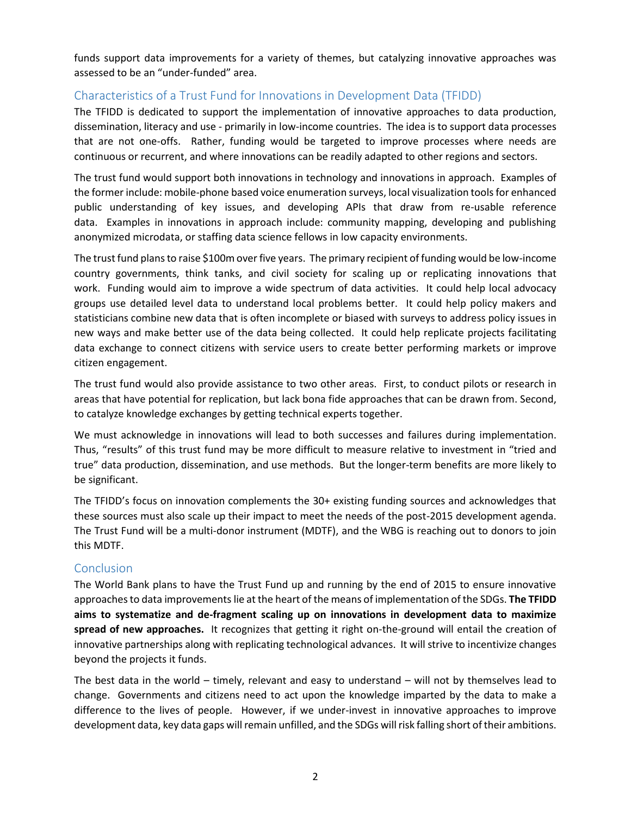funds support data improvements for a variety of themes, but catalyzing innovative approaches was assessed to be an "under-funded" area.

## Characteristics of a Trust Fund for Innovations in Development Data (TFIDD)

The TFIDD is dedicated to support the implementation of innovative approaches to data production, dissemination, literacy and use - primarily in low-income countries. The idea is to support data processes that are not one-offs. Rather, funding would be targeted to improve processes where needs are continuous or recurrent, and where innovations can be readily adapted to other regions and sectors.

The trust fund would support both innovations in technology and innovations in approach. Examples of the former include: mobile-phone based voice enumeration surveys, local visualization tools for enhanced public understanding of key issues, and developing APIs that draw from re-usable reference data. Examples in innovations in approach include: community mapping, developing and publishing anonymized microdata, or staffing data science fellows in low capacity environments.

The trust fund plans to raise \$100m over five years. The primary recipient of funding would be low-income country governments, think tanks, and civil society for scaling up or replicating innovations that work. Funding would aim to improve a wide spectrum of data activities. It could help local advocacy groups use detailed level data to understand local problems better. It could help policy makers and statisticians combine new data that is often incomplete or biased with surveys to address policy issues in new ways and make better use of the data being collected. It could help replicate projects facilitating data exchange to connect citizens with service users to create better performing markets or improve citizen engagement.

The trust fund would also provide assistance to two other areas. First, to conduct pilots or research in areas that have potential for replication, but lack bona fide approaches that can be drawn from. Second, to catalyze knowledge exchanges by getting technical experts together.

We must acknowledge in innovations will lead to both successes and failures during implementation. Thus, "results" of this trust fund may be more difficult to measure relative to investment in "tried and true" data production, dissemination, and use methods. But the longer-term benefits are more likely to be significant.

The TFIDD's focus on innovation complements the 30+ existing funding sources and acknowledges that these sources must also scale up their impact to meet the needs of the post-2015 development agenda. The Trust Fund will be a multi-donor instrument (MDTF), and the WBG is reaching out to donors to join this MDTF.

### **Conclusion**

The World Bank plans to have the Trust Fund up and running by the end of 2015 to ensure innovative approaches to data improvements lie at the heart of the means of implementation of the SDGs. **The TFIDD aims to systematize and de-fragment scaling up on innovations in development data to maximize spread of new approaches.** It recognizes that getting it right on-the-ground will entail the creation of innovative partnerships along with replicating technological advances. It will strive to incentivize changes beyond the projects it funds.

The best data in the world – timely, relevant and easy to understand – will not by themselves lead to change. Governments and citizens need to act upon the knowledge imparted by the data to make a difference to the lives of people. However, if we under-invest in innovative approaches to improve development data, key data gaps will remain unfilled, and the SDGs will risk falling short of their ambitions.